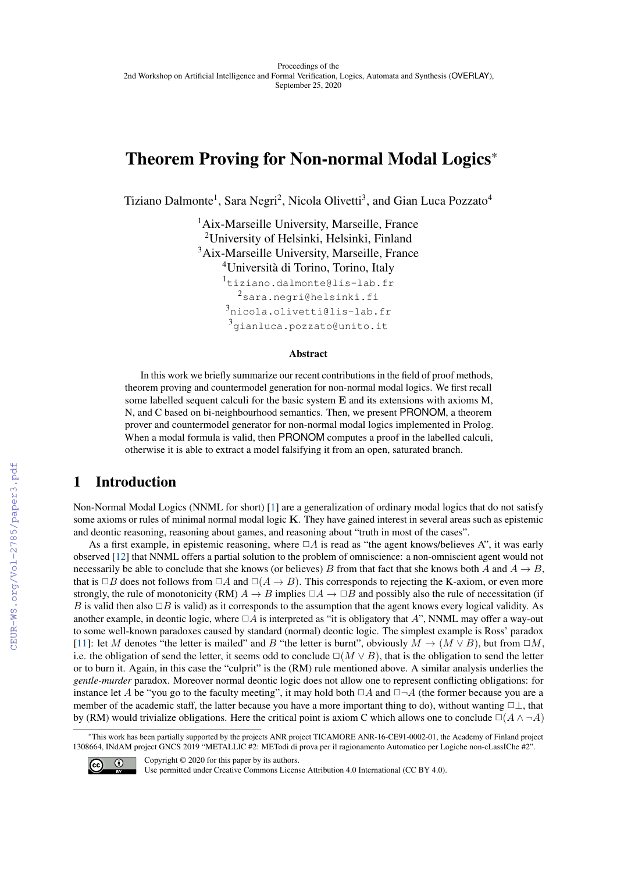# Theorem Proving for Non-normal Modal Logics\*

Tiziano Dalmonte<sup>1</sup>, Sara Negri<sup>2</sup>, Nicola Olivetti<sup>3</sup>, and Gian Luca Pozzato<sup>4</sup>

<sup>1</sup>Aix-Marseille University, Marseille, France University of Helsinki, Helsinki, Finland Aix-Marseille University, Marseille, France Università di Torino, Torino, Italy tiziano.dalmonte@lis-lab.fr sara.negri@helsinki.fi nicola.olivetti@lis-lab.fr gianluca.pozzato@unito.it

#### Abstract

In this work we briefly summarize our recent contributions in the field of proof methods, theorem proving and countermodel generation for non-normal modal logics. We first recall some labelled sequent calculi for the basic system **E** and its extensions with axioms M, N, and C based on bi-neighbourhood semantics. Then, we present PRONOM, a theorem prover and countermodel generator for non-normal modal logics implemented in Prolog. When a modal formula is valid, then PRONOM computes a proof in the labelled calculi, otherwise it is able to extract a model falsifying it from an open, saturated branch.

### 1 Introduction

Non-Normal Modal Logics (NNML for short) [\[1\]](#page--1-0) are a generalization of ordinary modal logics that do not satisfy some axioms or rules of minimal normal modal logic **K**. They have gained interest in several areas such as epistemic and deontic reasoning, reasoning about games, and reasoning about "truth in most of the cases".

As a first example, in epistemic reasoning, where  $\Box A$  is read as "the agent knows/believes A", it was early observed [\[12\]](#page--1-1) that NNML offers a partial solution to the problem of omniscience: a non-omniscient agent would not necessarily be able to conclude that she knows (or believes) *B* from that fact that she knows both *A* and  $A \rightarrow B$ , that is  $\Box B$  does not follows from  $\Box A$  and  $\Box(A \rightarrow B)$ . This corresponds to rejecting the K-axiom, or even more strongly, the rule of monotonicity (RM)  $A \to B$  implies  $\Box A \to \Box B$  and possibly also the rule of necessitation (if *B* is valid then also  $\Box B$  is valid) as it corresponds to the assumption that the agent knows every logical validity. As another example, in deontic logic, where  $\Box A$  is interpreted as "it is obligatory that  $A$ ", NNML may offer a way-out to some well-known paradoxes caused by standard (normal) deontic logic. The simplest example is Ross' paradox [\[11\]](#page--1-2): let *M* denotes "the letter is mailed" and *B* "the letter is burnt", obviously  $M \to (M \vee B)$ , but from  $\Box M$ , i.e. the obligation of send the letter, it seems odd to conclude  $\square(M \vee B)$ , that is the obligation to send the letter or to burn it. Again, in this case the "culprit" is the (RM) rule mentioned above. A similar analysis underlies the *gentle-murder* paradox. Moreover normal deontic logic does not allow one to represent conflicting obligations: for instance let *A* be "you go to the faculty meeting", it may hold both  $\Box A$  and  $\Box\neg A$  (the former because you are a member of the academic staff, the latter because you have a more important thing to do), without wanting  $\Box \bot$ , that by (RM) would trivialize obligations. Here the critical point is axiom C which allows one to conclude  $\Box(A \land \neg A)$ 

<sup>\*</sup>This work has been partially supported by the projects ANR project TICAMORE ANR-16-CE91-0002-01, the Academy of Finland project 1308664, INdAM project GNCS 2019 "METALLIC #2: METodi di prova per il ragionamento Automatico per Logiche non-cLassIChe #2".



Copyright © 2020 for this paper by its authors.

Use permitted under Creative Commons License Attribution 4.0 International (CC BY 4.0).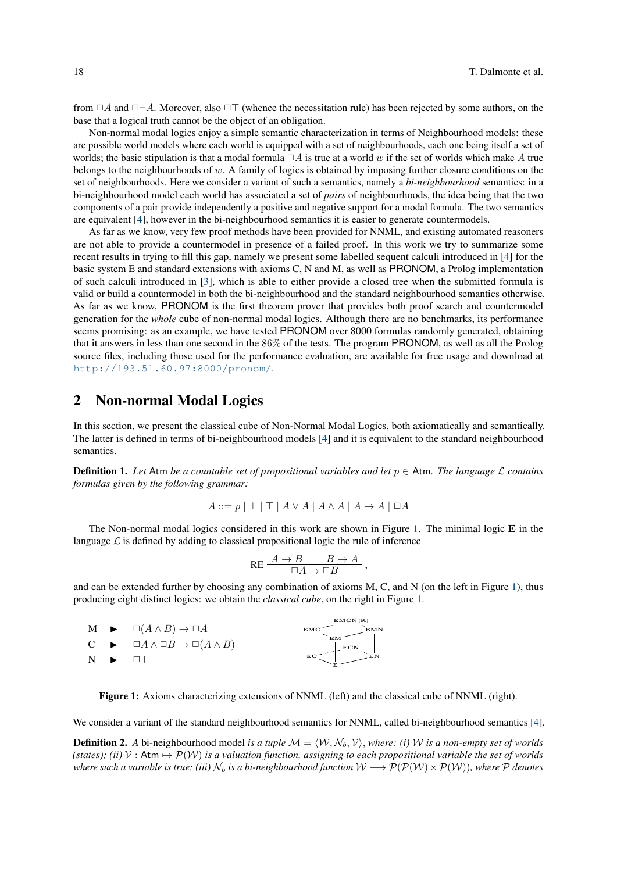from  $\Box A$  and  $\Box \neg A$ . Moreover, also  $\Box \top$  (whence the necessitation rule) has been rejected by some authors, on the base that a logical truth cannot be the object of an obligation.

Non-normal modal logics enjoy a simple semantic characterization in terms of Neighbourhood models: these are possible world models where each world is equipped with a set of neighbourhoods, each one being itself a set of worlds; the basic stipulation is that a modal formula  $\Box A$  is true at a world  $w$  if the set of worlds which make  $A$  true belongs to the neighbourhoods of *w*. A family of logics is obtained by imposing further closure conditions on the set of neighbourhoods. Here we consider a variant of such a semantics, namely a *bi-neighbourhood* semantics: in a bi-neighbourhood model each world has associated a set of *pairs* of neighbourhoods, the idea being that the two components of a pair provide independently a positive and negative support for a modal formula. The two semantics are equivalent [\[4\]](#page-5-0), however in the bi-neighbourhood semantics it is easier to generate countermodels.

As far as we know, very few proof methods have been provided for NNML, and existing automated reasoners are not able to provide a countermodel in presence of a failed proof. In this work we try to summarize some recent results in trying to fill this gap, namely we present some labelled sequent calculi introduced in [\[4\]](#page-5-0) for the basic system E and standard extensions with axioms C, N and M, as well as PRONOM, a Prolog implementation of such calculi introduced in [\[3\]](#page-5-1), which is able to either provide a closed tree when the submitted formula is valid or build a countermodel in both the bi-neighbourhood and the standard neighbourhood semantics otherwise. As far as we know, PRONOM is the first theorem prover that provides both proof search and countermodel generation for the *whole* cube of non-normal modal logics. Although there are no benchmarks, its performance seems promising: as an example, we have tested PRONOM over 8000 formulas randomly generated, obtaining that it answers in less than one second in the 86% of the tests. The program PRONOM, as well as all the Prolog source files, including those used for the performance evaluation, are available for free usage and download at <http://193.51.60.97:8000/pronom/>.

### 2 Non-normal Modal Logics

In this section, we present the classical cube of Non-Normal Modal Logics, both axiomatically and semantically. The latter is defined in terms of bi-neighbourhood models [\[4\]](#page-5-0) and it is equivalent to the standard neighbourhood semantics.

**Definition 1.** Let Atm *be a countable set of propositional variables and let*  $p \in$  Atm. The language  $\mathcal L$  contains *formulas given by the following grammar:*

$$
A ::= p | \perp | \top | A \lor A | A \land A | A \to A | \Box A
$$

The Non-normal modal logics considered in this work are shown in Figure [1.](#page-1-0) The minimal logic **E** in the language  $\mathcal L$  is defined by adding to classical propositional logic the rule of inference

$$
\mathsf{RE} \xrightarrow{\begin{array}{c} A \to B \quad \quad B \to A \\ \Box A \to \Box B \end{array}},
$$

and can be extended further by choosing any combination of axioms M, C, and N (on the left in Figure [1\)](#page-1-0), thus producing eight distinct logics: we obtain the *classical cube*, on the right in Figure [1.](#page-1-0)

<span id="page-1-0"></span>

|     | $M \rightarrow \Box(A \wedge B) \rightarrow \Box A$                | EMCN (K)<br><b>EMC</b><br><b>EMN</b> |
|-----|--------------------------------------------------------------------|--------------------------------------|
|     | $C \rightarrow \Box A \wedge \Box B \rightarrow \Box (A \wedge B)$ | EМ<br>ECN                            |
| N Þ |                                                                    | EN<br>EС                             |

Figure 1: Axioms characterizing extensions of NNML (left) and the classical cube of NNML (right).

We consider a variant of the standard neighbourhood semantics for NNML, called bi-neighbourhood semantics [\[4\]](#page-5-0).

**Definition 2.** A bi-neighbourhood model *is a tuple*  $\mathcal{M} = \langle \mathcal{W}, \mathcal{N}_b, \mathcal{V} \rangle$ *, where: (i)* W *is a non-empty set of worlds (states); (ii)*  $V :$  Atm  $\mapsto \mathcal{P}(W)$  *is a valuation function, assigning to each propositional variable the set of worlds where such a variable is true; (iii)*  $N_b$  *is a bi-neighbourhood function*  $W \to \mathcal{P}(\mathcal{P}(W) \times \mathcal{P}(W))$ *, where*  $\mathcal P$  *denotes*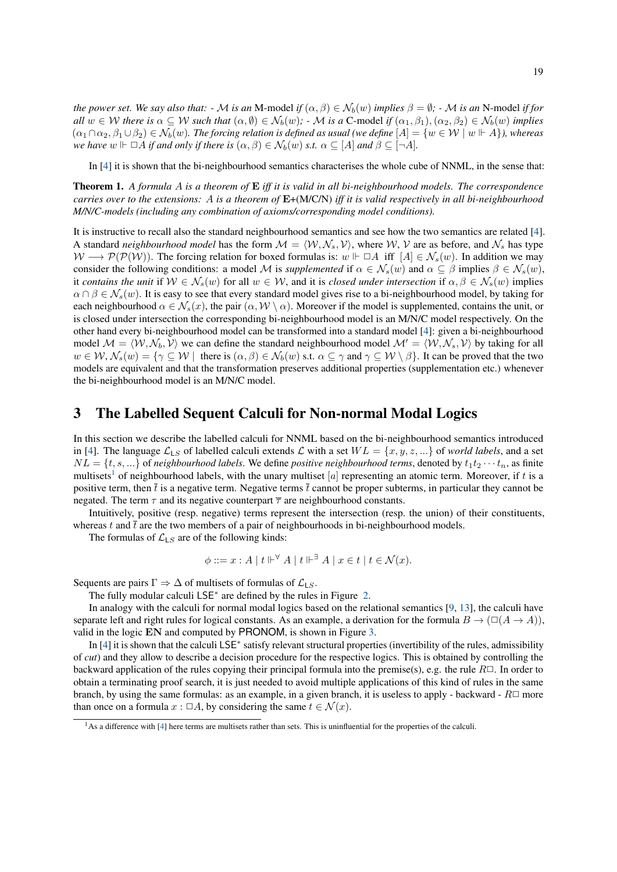*the power set. We say also that:*  $\cdot$  *M is an* M-model *if*  $(\alpha, \beta) \in \mathcal{N}_b(w)$  *implies*  $\beta = \emptyset$ *;*  $\cdot$  *M is an* N-model *if for* all  $w \in W$  there is  $\alpha \subseteq W$  such that  $(\alpha, \emptyset) \in \mathcal{N}_b(w)$ ;  $\cdot \mathcal{M}$  is a C-model if  $(\alpha_1, \beta_1), (\alpha_2, \beta_2) \in \mathcal{N}_b(w)$  implies  $(\alpha_1 \cap \alpha_2, \beta_1 \cup \beta_2) \in \mathcal{N}_b(w)$ . The forcing relation is defined as usual (we define  $[A] = \{w \in \mathcal{W} \mid w \Vdash A\}$ ), whereas *we have*  $w \Vdash \Box A$  *if and only if there is*  $(\alpha, \beta) \in \mathcal{N}_b(w)$  *s.t.*  $\alpha \subseteq [A]$  *and*  $\beta \subseteq [\neg A]$ *.* 

In [\[4\]](#page-5-0) it is shown that the bi-neighbourhood semantics characterises the whole cube of NNML, in the sense that:

Theorem 1. *A formula A is a theorem of* **E** *iff it is valid in all bi-neighbourhood models. The correspondence carries over to the extensions: A is a theorem of* **E**+(M/C/N) *iff it is valid respectively in all bi-neighbourhood M/N/C-models (including any combination of axioms/corresponding model conditions).*

It is instructive to recall also the standard neighbourhood semantics and see how the two semantics are related [\[4\]](#page-5-0). A standard *neighbourhood model* has the form  $M = \langle W, N_s, V \rangle$ , where W, V are as before, and  $N_s$  has type  $W \longrightarrow \mathcal{P}(\mathcal{P}(W))$ . The forcing relation for boxed formulas is:  $w \Vdash \Box A$  iff  $[A] \in \mathcal{N}_s(w)$ . In addition we may consider the following conditions: a model M is *supplemented* if  $\alpha \in \mathcal{N}_s(w)$  and  $\alpha \subseteq \beta$  implies  $\beta \in \mathcal{N}_s(w)$ , it *contains the unit* if  $W \in \mathcal{N}_s(w)$  for all  $w \in \mathcal{W}$ , and it is *closed under intersection* if  $\alpha, \beta \in \mathcal{N}_s(w)$  implies  $\alpha \cap \beta \in \mathcal{N}_s(w)$ . It is easy to see that every standard model gives rise to a bi-neighbourhood model, by taking for each neighbourhood  $\alpha \in \mathcal{N}_s(x)$ , the pair  $(\alpha, \mathcal{W} \setminus \alpha)$ . Moreover if the model is supplemented, contains the unit, or is closed under intersection the corresponding bi-neighbourhood model is an M/N/C model respectively. On the other hand every bi-neighbourhood model can be transformed into a standard model [\[4\]](#page-5-0): given a bi-neighbourhood model  $M = \langle W, \mathcal{N}_b, V \rangle$  we can define the standard neighbourhood model  $\mathcal{M}' = \langle W, \mathcal{N}_s, V \rangle$  by taking for all  $w \in \mathcal{W}, \mathcal{N}_s(w) = \{ \gamma \subseteq \mathcal{W} \mid \text{ there is } (\alpha, \beta) \in \mathcal{N}_b(w) \text{ s.t. } \alpha \subseteq \gamma \text{ and } \gamma \subseteq \mathcal{W} \setminus \beta \}.$  It can be proved that the two models are equivalent and that the transformation preserves additional properties (supplementation etc.) whenever the bi-neighbourhood model is an M/N/C model.

#### 3 The Labelled Sequent Calculi for Non-normal Modal Logics

In this section we describe the labelled calculi for NNML based on the bi-neighbourhood semantics introduced in [\[4\]](#page-5-0). The language  $\mathcal{L}_{LS}$  of labelled calculi extends  $\mathcal L$  with a set  $WL = \{x, y, z, ...\}$  of *world labels*, and a set  $NL = \{t, s, ...\}$  of *neighbourhood labels*. We define *positive neighbourhood terms*, denoted by  $t_1 t_2 \cdots t_n$ , as finite multisets<sup>[1](#page--1-3)</sup> of neighbourhood labels, with the unary multiset  $[a]$  representing an atomic term. Moreover, if t is a positive term, then  $\bar{t}$  is a negative term. Negative terms  $\bar{t}$  cannot be proper subterms, in particular they cannot be negated. The term  $\tau$  and its negative counterpart  $\bar{\tau}$  are neighbourhood constants.

Intuitively, positive (resp. negative) terms represent the intersection (resp. the union) of their constituents, whereas  $t$  and  $\bar{t}$  are the two members of a pair of neighbourhoods in bi-neighbourhood models.

The formulas of  $\mathcal{L}_{LS}$  are of the following kinds:

$$
\phi ::= x : A \mid t \Vdash^{\forall} A \mid t \Vdash^{\exists} A \mid x \in t \mid t \in \mathcal{N}(x).
$$

Sequents are pairs  $\Gamma \Rightarrow \Delta$  of multisets of formulas of  $\mathcal{L}_{LS}$ .

The fully modular calculi LSE<sup>∗</sup> are defined by the rules in Figure [2.](#page-3-0)

In analogy with the calculi for normal modal logics based on the relational semantics [\[9,](#page-5-2) [13\]](#page-5-3), the calculi have separate left and right rules for logical constants. As an example, a derivation for the formula  $B \to (\Box(A \to A))$ , valid in the logic **EN** and computed by PRONOM, is shown in Figure [3.](#page-4-0)

In [\[4\]](#page-5-0) it is shown that the calculi LSE<sup>∗</sup> satisfy relevant structural properties (invertibility of the rules, admissibility of *cut*) and they allow to describe a decision procedure for the respective logics. This is obtained by controlling the backward application of the rules copying their principal formula into the premise(s), e.g. the rule  $R\Box$ . In order to obtain a terminating proof search, it is just needed to avoid multiple applications of this kind of rules in the same branch, by using the same formulas: as an example, in a given branch, it is useless to apply - backward -  $R\Box$  more than once on a formula  $x : \Box A$ , by considering the same  $t \in \mathcal{N}(x)$ .

 $<sup>1</sup>$ As a difference with  $[4]$  here terms are multisets rather than sets. This is uninfluential for the properties of the calculi.</sup>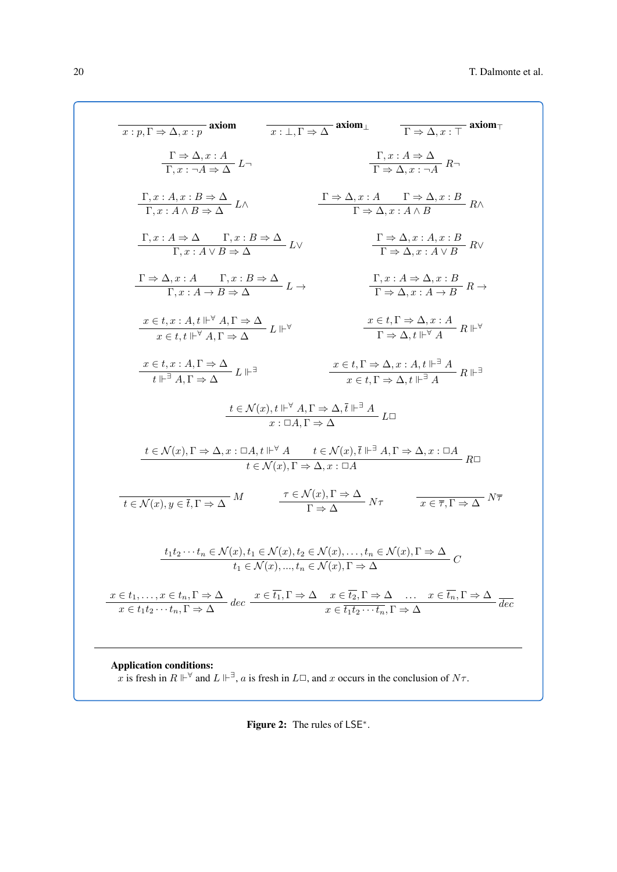<span id="page-3-0"></span>axiom *x* : *p,* Γ ⇒ ∆*, x* : *p* axiom<sup>⊥</sup> *x* : ⊥*,* Γ ⇒ ∆ axiom<sup>&</sup>gt; Γ ⇒ ∆*, x* : > Γ ⇒ ∆*, x* : *A L*¬ Γ*, x* : ¬*A* ⇒ ∆ Γ*, x* : *A* ⇒ ∆ *R*¬ Γ ⇒ ∆*, x* : ¬*A* Γ*, x* : *A, x* : *B* ⇒ ∆ *L*∧ Γ*, x* : *A* ∧ *B* ⇒ ∆ Γ ⇒ ∆*, x* : *A* Γ ⇒ ∆*, x* : *B R*∧ Γ ⇒ ∆*, x* : *A* ∧ *B* Γ*, x* : *A* ⇒ ∆ Γ*, x* : *B* ⇒ ∆ *L*∨ Γ*, x* : *A* ∨ *B* ⇒ ∆ Γ ⇒ ∆*, x* : *A, x* : *B R*∨ Γ ⇒ ∆*, x* : *A* ∨ *B* Γ ⇒ ∆*, x* : *A* Γ*, x* : *B* ⇒ ∆ *<sup>L</sup>* <sup>→</sup> <sup>Γ</sup>*, x* : *<sup>A</sup>* <sup>→</sup> *<sup>B</sup>* <sup>⇒</sup> <sup>∆</sup> Γ*, x* : *A* ⇒ ∆*, x* : *B <sup>R</sup>* <sup>→</sup> <sup>Γ</sup> <sup>⇒</sup> <sup>∆</sup>*, x* : *<sup>A</sup>* <sup>→</sup> *<sup>B</sup> x* ∈ *t, x* : *A, t* <sup>∀</sup> *A,* Γ ⇒ ∆ *L* ∀ *x* ∈ *t, t* <sup>∀</sup> *A,* Γ ⇒ ∆ *x* ∈ *t,* Γ ⇒ ∆*, x* : *A R* ∀ Γ ⇒ ∆*, t* <sup>∀</sup> *A x* ∈ *t, x* : *A,* Γ ⇒ ∆ *L* ∃ *t* <sup>∃</sup> *A,* Γ ⇒ ∆ *x* ∈ *t,* Γ ⇒ ∆*, x* : *A, t* <sup>∃</sup> *A R* ∃ *x* ∈ *t,* Γ ⇒ ∆*, t* <sup>∃</sup> *A t* ∈ N (*x*)*, t* <sup>∀</sup> *A,* Γ ⇒ ∆*,t* <sup>∃</sup> *A L*✷ *x* : ✷*A,* Γ ⇒ ∆ *t* ∈ N (*x*)*,* Γ ⇒ ∆*, x* : ✷*A, t* <sup>∀</sup> *A t* ∈ N (*x*)*,t* <sup>∃</sup> *A,* Γ ⇒ ∆*, x* : ✷*A R*✷ *t* ∈ N (*x*)*,* Γ ⇒ ∆*, x* : ✷*A M t* ∈ N (*x*)*, y* ∈ *t,* Γ ⇒ ∆ *τ* ∈ N (*x*)*,* Γ ⇒ ∆ *Nτ* <sup>Γ</sup> <sup>⇒</sup> <sup>∆</sup> *Nτ x* ∈ *τ,* Γ ⇒ ∆ *t*1*t*<sup>2</sup> · · ·*t<sup>n</sup>* ∈ N (*x*)*, t*<sup>1</sup> ∈ N (*x*)*, t*<sup>2</sup> ∈ N (*x*)*, . . . , t<sup>n</sup>* ∈ N (*x*)*,* Γ ⇒ ∆ *C t*<sup>1</sup> ∈ N (*x*)*, ..., t<sup>n</sup>* ∈ N (*x*)*,* Γ ⇒ ∆ *x* ∈ *t*1*, . . . , x* ∈ *tn,* Γ ⇒ ∆ *dec x* ∈ *t*1*t*<sup>2</sup> · · ·*tn,* Γ ⇒ ∆ *x* ∈ *t*1*,* Γ ⇒ ∆ *x* ∈ *t*2*,* Γ ⇒ ∆ . . . *x* ∈ *tn,* Γ ⇒ ∆ *dec x* ∈ *t*1*t*<sup>2</sup> · · ·*tn,* Γ ⇒ ∆

Application conditions: x is fresh in  $R \Vdash^{\forall}$  and  $L \Vdash^{\exists}$ , a is fresh in  $L\square$ , and x occurs in the conclusion of  $N\tau$ .

Figure 2: The rules of LSE<sup>\*</sup>.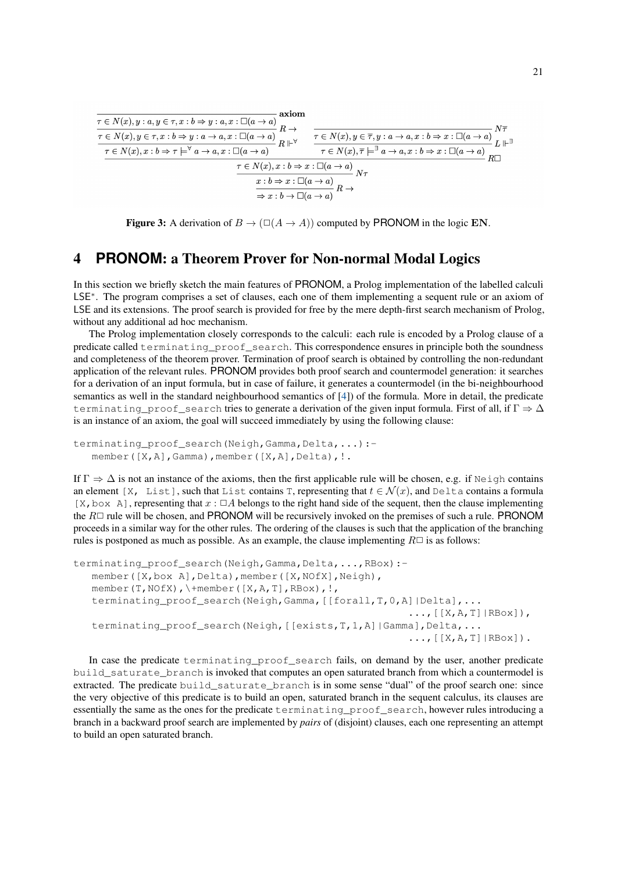<span id="page-4-0"></span>

Figure 3: A derivation of  $B \to (\Box(A \to A))$  computed by PRONOM in the logic EN.

# 4 **PRONOM**: a Theorem Prover for Non-normal Modal Logics

In this section we briefly sketch the main features of PRONOM, a Prolog implementation of the labelled calculi LSE<sup>∗</sup>. The program comprises a set of clauses, each one of them implementing a sequent rule or an axiom of LSE and its extensions. The proof search is provided for free by the mere depth-first search mechanism of Prolog, without any additional ad hoc mechanism.

The Prolog implementation closely corresponds to the calculi: each rule is encoded by a Prolog clause of a predicate called terminating\_proof\_search. This correspondence ensures in principle both the soundness and completeness of the theorem prover. Termination of proof search is obtained by controlling the non-redundant application of the relevant rules. PRONOM provides both proof search and countermodel generation: it searches for a derivation of an input formula, but in case of failure, it generates a countermodel (in the bi-neighbourhood semantics as well in the standard neighbourhood semantics of [\[4\]](#page-5-0)) of the formula. More in detail, the predicate terminating\_proof\_search tries to generate a derivation of the given input formula. First of all, if  $\Gamma \Rightarrow \Delta$ is an instance of an axiom, the goal will succeed immediately by using the following clause:

```
terminating_proof_search(Neigh,Gamma,Delta,...) :-
member([X,A],Gamma),member([X,A],Delta), !.
```
If  $\Gamma \Rightarrow \Delta$  is not an instance of the axioms, then the first applicable rule will be chosen, e.g. if Neigh contains an element [X, List], such that List contains T, representing that  $t \in \mathcal{N}(x)$ , and Delta contains a formula [X, box A], representing that  $x : \Box A$  belongs to the right hand side of the sequent, then the clause implementing the  $R\Box$  rule will be chosen, and PRONOM will be recursively invoked on the premises of such a rule. PRONOM proceeds in a similar way for the other rules. The ordering of the clauses is such that the application of the branching rules is postponed as much as possible. As an example, the clause implementing  $R\Box$  is as follows:

```
terminating proof search(Neigh,Gamma,Delta,...,RBox):-
 member([X,box A],Delta),member([X,NOfX],Neigh),
 member(T,NOfX),\+member([X,A,T],RBox),!,
 terminating_proof_search(Neigh,Gamma,[[forall,T,0,A]|Delta],...
                                                         \ldots, [ [X, A, T] | RBox ] ),
 terminating_proof_search(Neigh, [[exists, T, 1, A]|Gamma], Delta, ...
                                                         \ldots, [ [X, A, T] | RBox].
```
In case the predicate terminating\_proof\_search fails, on demand by the user, another predicate build\_saturate\_branch is invoked that computes an open saturated branch from which a countermodel is extracted. The predicate build\_saturate\_branch is in some sense "dual" of the proof search one: since the very objective of this predicate is to build an open, saturated branch in the sequent calculus, its clauses are essentially the same as the ones for the predicate terminating\_proof\_search, however rules introducing a branch in a backward proof search are implemented by *pairs* of (disjoint) clauses, each one representing an attempt to build an open saturated branch.